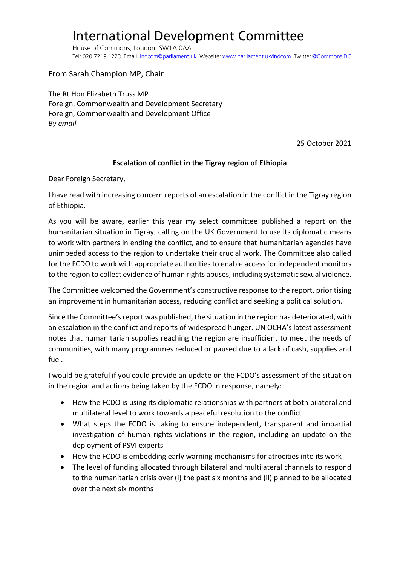## **International Development Committee**

House of Commons, London, SW1A 0AA Tel: 020 7219 1223 Email: indcom@parliament.uk Website: www.parliament.uk/indcom Twitter:@CommonsIDC

From Sarah Champion MP, Chair

The Rt Hon Elizabeth Truss MP Foreign, Commonwealth and Development Secretary Foreign, Commonwealth and Development Office *By email*

25 October 2021

## **Escalation of conflict in the Tigray region of Ethiopia**

Dear Foreign Secretary,

I have read with increasing concern reports of an escalation in the conflict in the Tigray region of Ethiopia.

As you will be aware, earlier this year my select committee published a report on the humanitarian situation in Tigray, calling on the UK Government to use its diplomatic means to work with partners in ending the conflict, and to ensure that humanitarian agencies have unimpeded access to the region to undertake their crucial work. The Committee also called for the FCDO to work with appropriate authorities to enable access for independent monitors to the region to collect evidence of human rights abuses, including systematic sexual violence.

The Committee welcomed the Government's constructive response to the report, prioritising an improvement in humanitarian access, reducing conflict and seeking a political solution.

Since the Committee's report was published, the situation in the region has deteriorated, with an escalation in the conflict and reports of widespread hunger. UN OCHA's latest assessment notes that humanitarian supplies reaching the region are insufficient to meet the needs of communities, with many programmes reduced or paused due to a lack of cash, supplies and fuel.

I would be grateful if you could provide an update on the FCDO's assessment of the situation in the region and actions being taken by the FCDO in response, namely:

- How the FCDO is using its diplomatic relationships with partners at both bilateral and multilateral level to work towards a peaceful resolution to the conflict
- What steps the FCDO is taking to ensure independent, transparent and impartial investigation of human rights violations in the region, including an update on the deployment of PSVI experts
- How the FCDO is embedding early warning mechanisms for atrocities into its work
- The level of funding allocated through bilateral and multilateral channels to respond to the humanitarian crisis over (i) the past six months and (ii) planned to be allocated over the next six months